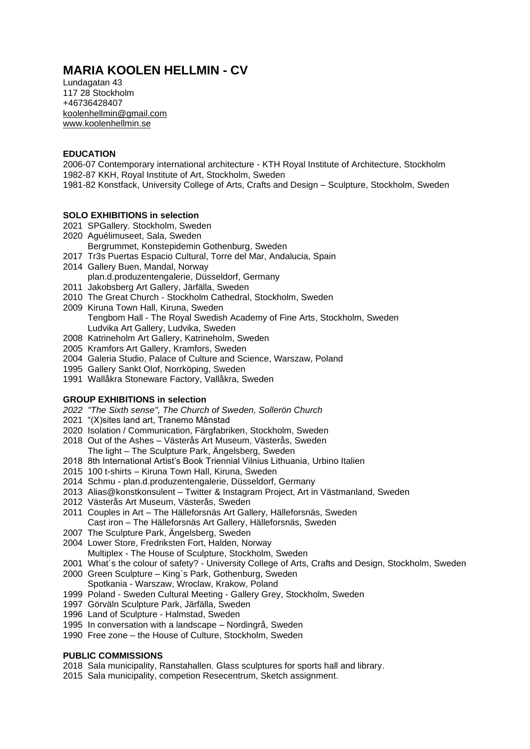# **MARIA KOOLEN HELLMIN - CV**

Lundagatan 43 117 28 Stockholm +46736428407 [koolenhellmin@gmail.com](mailto:koolenhellmin@gmail.com) [www.koolenhellmin.se](http://www.koolenhellmin.se/)

#### **EDUCATION**

2006-07 Contemporary international architecture - KTH Royal Institute of Architecture, Stockholm 1982-87 KKH, Royal Institute of Art, Stockholm, Sweden

1981-82 Konstfack, University College of Arts, Crafts and Design – Sculpture, Stockholm, Sweden

#### **SOLO EXHIBITIONS in selection**

- 2021 SPGallery. Stockholm, Sweden
- 2020 Aguélimuseet, Sala, Sweden
- Bergrummet, Konstepidemin Gothenburg, Sweden
- 2017 Tr3s Puertas Espacio Cultural, Torre del Mar, Andalucia, Spain
- 2014 Gallery Buen, Mandal, Norway plan.d.produzentengalerie, Düsseldorf, Germany
- 2011 Jakobsberg Art Gallery, Järfälla, Sweden
- 2010 The Great Church Stockholm Cathedral, Stockholm, Sweden
- 2009 Kiruna Town Hall, Kiruna, Sweden Tengbom Hall - The Royal Swedish Academy of Fine Arts, Stockholm, Sweden Ludvika Art Gallery, Ludvika, Sweden
- 2008 Katrineholm Art Gallery, Katrineholm, Sweden
- 2005 Kramfors Art Gallery, Kramfors, Sweden
- 2004 Galeria Studio, Palace of Culture and Science, Warszaw, Poland
- 1995 Gallery Sankt Olof, Norrköping, Sweden
- 1991 Wallåkra Stoneware Factory, Vallåkra, Sweden

## **GROUP EXHIBITIONS in selection**

- *2022 "The Sixth sense", The Church of Sweden, Sollerön Church*
- 2021 "(X)sites land art, Tranemo Månstad
- 2020 Isolation / Communication, Färgfabriken, Stockholm, Sweden
- 2018 Out of the Ashes Västerås Art Museum, Västerås, Sweden The light – The Sculpture Park, Ängelsberg, Sweden
- 2018 8th International Artist's Book Triennial Vilnius Lithuania, Urbino Italien
- 2015 100 t-shirts Kiruna Town Hall, Kiruna, Sweden
- 2014 Schmu plan.d.produzentengalerie, Düsseldorf, Germany
- 2013 Alias@konstkonsulent Twitter & Instagram Project, Art in Västmanland, Sweden
- 2012 Västerås Art Museum, Västerås, Sweden
- 2011 Couples in Art The Hälleforsnäs Art Gallery, Hälleforsnäs, Sweden Cast iron – The Hälleforsnäs Art Gallery, Hälleforsnäs, Sweden
- 2007 The Sculpture Park, Ängelsberg, Sweden
- 2004 Lower Store, Fredriksten Fort, Halden, Norway Multiplex - The House of Sculpture, Stockholm, Sweden
- 2001 What´s the colour of safety? University College of Arts, Crafts and Design, Stockholm, Sweden 2000 Green Sculpture – King`s Park, Gothenburg, Sweden
- Spotkania Warszaw, Wroclaw, Krakow, Poland
- 1999 Poland Sweden Cultural Meeting Gallery Grey, Stockholm, Sweden
- 1997 Görväln Sculpture Park, Järfälla, Sweden
- 1996 Land of Sculpture Halmstad, Sweden
- 1995 In conversation with a landscape Nordingrå, Sweden
- 1990 Free zone the House of Culture, Stockholm, Sweden

## **PUBLIC COMMISSIONS**

- 2018 Sala municipality, Ranstahallen. Glass sculptures for sports hall and library.
- 2015 Sala municipality, competion Resecentrum, Sketch assignment.